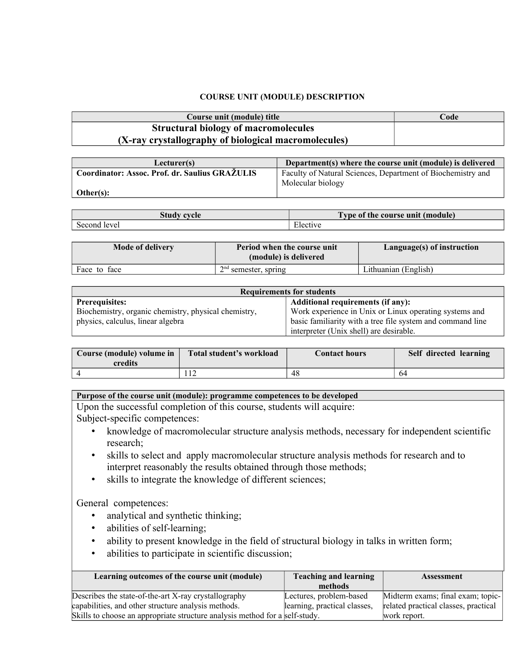## **COURSE UNIT (MODULE) DESCRIPTION**

| Course unit (module) title                           | Code |
|------------------------------------------------------|------|
| <b>Structural biology of macromolecules</b>          |      |
| (X-ray crystallography of biological macromolecules) |      |

| Lecturer(s)                                    | Department(s) where the course unit (module) is delivered   |
|------------------------------------------------|-------------------------------------------------------------|
| Coordinator: Assoc. Prof. dr. Saulius GRAŽULIS | Faculty of Natural Sciences, Department of Biochemistry and |
|                                                | Molecular biology                                           |
| Other(s):                                      |                                                             |

| <b>Study cycle</b> | <b>CONTINUES</b><br>Type of the course unit (module) |  |  |  |  |
|--------------------|------------------------------------------------------|--|--|--|--|
| Second             | $\sim$                                               |  |  |  |  |
| level              | ∵lective                                             |  |  |  |  |

| <b>Mode of delivery</b> | Period when the course unit<br>(module) is delivered | Language(s) of instruction |
|-------------------------|------------------------------------------------------|----------------------------|
| Face to face            | $2nd$ semester, spring                               | Lithuanian (English)       |

| <b>Requirements for students</b>                     |                                                            |  |  |  |  |
|------------------------------------------------------|------------------------------------------------------------|--|--|--|--|
| <b>Prerequisites:</b>                                | <b>Additional requirements (if any):</b>                   |  |  |  |  |
| Biochemistry, organic chemistry, physical chemistry, | Work experience in Unix or Linux operating systems and     |  |  |  |  |
| physics, calculus, linear algebra                    | basic familiarity with a tree file system and command line |  |  |  |  |
|                                                      | interpreter (Unix shell) are desirable.                    |  |  |  |  |

| Course (module) volume in<br>credits | Total student's workload | <b>Contact hours</b> | Self directed learning |
|--------------------------------------|--------------------------|----------------------|------------------------|
|                                      |                          | 48                   | 04                     |

## **Purpose of the course unit (module): programme competences to be developed**

Upon the successful completion of this course, students will acquire: Subject-specific competences:

- knowledge of macromolecular structure analysis methods, necessary for independent scientific research;
- skills to select and apply macromolecular structure analysis methods for research and to interpret reasonably the results obtained through those methods;
- skills to integrate the knowledge of different sciences;

General competences:

- analytical and synthetic thinking;
- abilities of self-learning;
- ability to present knowledge in the field of structural biology in talks in written form;
- abilities to participate in scientific discussion;

| Learning outcomes of the course unit (module)                               | <b>Teaching and learning</b> | <b>Assessment</b>                    |  |
|-----------------------------------------------------------------------------|------------------------------|--------------------------------------|--|
|                                                                             | methods                      |                                      |  |
| Describes the state-of-the-art X-ray crystallography                        | Lectures, problem-based      | Midterm exams; final exam; topic-    |  |
| capabilities, and other structure analysis methods.                         | learning, practical classes, | related practical classes, practical |  |
| Skills to choose an appropriate structure analysis method for a self-study. |                              | work report.                         |  |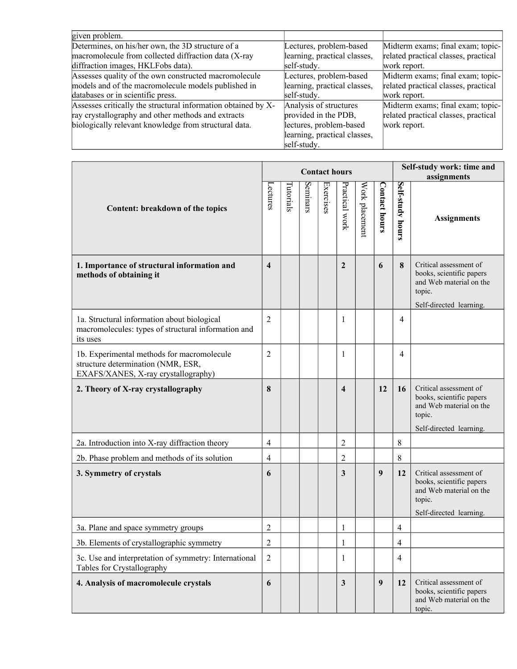| given problem.                                                |                              |                                      |
|---------------------------------------------------------------|------------------------------|--------------------------------------|
| Determines, on his/her own, the 3D structure of a             | Lectures, problem-based      | Midterm exams; final exam; topic-    |
| macromolecule from collected diffraction data (X-ray          | learning, practical classes, | related practical classes, practical |
| diffraction images, HKLFobs data).                            | self-study.                  | work report.                         |
| Assesses quality of the own constructed macromolecule         | Lectures, problem-based      | Midterm exams; final exam; topic-    |
| models and of the macromolecule models published in           | learning, practical classes, | related practical classes, practical |
| databases or in scientific press.                             | self-study.                  | work report.                         |
| Assesses critically the structural information obtained by X- | Analysis of structures       | Midterm exams; final exam; topic-    |
| ray crystallography and other methods and extracts            | provided in the PDB,         | related practical classes, practical |
| biologically relevant knowledge from structural data.         | lectures, problem-based      | work report.                         |
|                                                               | learning, practical classes, |                                      |
|                                                               | self-study.                  |                                      |

|                                                                                                                         | <b>Contact hours</b> |           |          |           |                         |                |                      |                     | Self-study work: time and                                                                                          |  |  |
|-------------------------------------------------------------------------------------------------------------------------|----------------------|-----------|----------|-----------|-------------------------|----------------|----------------------|---------------------|--------------------------------------------------------------------------------------------------------------------|--|--|
|                                                                                                                         |                      |           |          |           |                         |                |                      |                     | assignments                                                                                                        |  |  |
| Content: breakdown of the topics                                                                                        | -ectures             | Tutorials | Seminars | Exercises | Practical work          | Work placement | <b>Contact hours</b> | Self-study<br>hours | <b>Assignments</b>                                                                                                 |  |  |
| 1. Importance of structural information and<br>methods of obtaining it                                                  | 4                    |           |          |           | $\mathbf{2}$            |                | 6                    | 8                   | Critical assessment of<br>books, scientific papers<br>and Web material on the<br>topic.<br>Self-directed learning. |  |  |
| 1a. Structural information about biological<br>macromolecules: types of structural information and<br>its uses          | $\overline{2}$       |           |          |           | 1                       |                |                      | $\overline{4}$      |                                                                                                                    |  |  |
| 1b. Experimental methods for macromolecule<br>structure determination (NMR, ESR,<br>EXAFS/XANES, X-ray crystallography) | $\overline{2}$       |           |          |           | 1                       |                |                      | 4                   |                                                                                                                    |  |  |
| 2. Theory of X-ray crystallography                                                                                      | 8                    |           |          |           | $\overline{\mathbf{4}}$ |                | 12                   | 16                  | Critical assessment of<br>books, scientific papers<br>and Web material on the<br>topic.<br>Self-directed learning. |  |  |
| 2a. Introduction into X-ray diffraction theory                                                                          | 4                    |           |          |           | $\overline{c}$          |                |                      | 8                   |                                                                                                                    |  |  |
| 2b. Phase problem and methods of its solution                                                                           | $\overline{4}$       |           |          |           | $\overline{2}$          |                |                      | 8                   |                                                                                                                    |  |  |
| 3. Symmetry of crystals                                                                                                 |                      |           |          |           | 3                       |                | $\boldsymbol{9}$     | 12                  | Critical assessment of<br>books, scientific papers<br>and Web material on the<br>topic.<br>Self-directed learning. |  |  |
| 3a. Plane and space symmetry groups                                                                                     | $\overline{2}$       |           |          |           | 1                       |                |                      | 4                   |                                                                                                                    |  |  |
| 3b. Elements of crystallographic symmetry                                                                               | 2                    |           |          |           | 1                       |                |                      | 4                   |                                                                                                                    |  |  |
| 3c. Use and interpretation of symmetry: International<br>Tables for Crystallography                                     | $\overline{2}$       |           |          |           | 1                       |                |                      | 4                   |                                                                                                                    |  |  |
| 4. Analysis of macromolecule crystals                                                                                   | 6                    |           |          |           | $\mathbf{3}$            |                | $\boldsymbol{9}$     | 12                  | Critical assessment of<br>books, scientific papers<br>and Web material on the<br>topic.                            |  |  |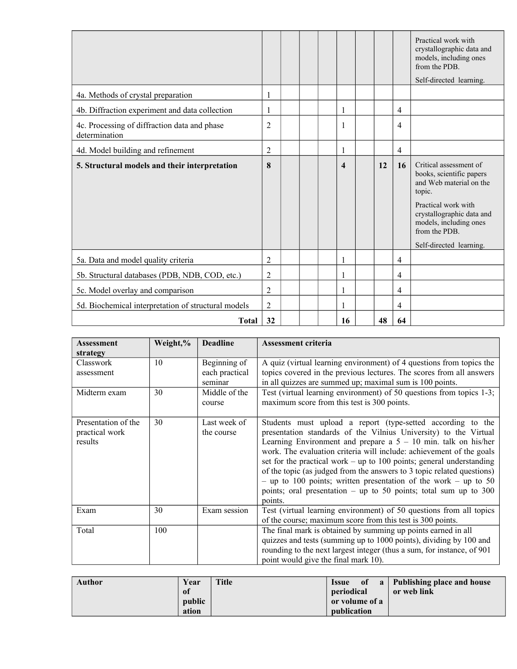|                                                               |                |  |                         |    |                | Practical work with<br>crystallographic data and<br>models, including ones<br>from the PDB.<br>Self-directed learning.                                                                                            |
|---------------------------------------------------------------|----------------|--|-------------------------|----|----------------|-------------------------------------------------------------------------------------------------------------------------------------------------------------------------------------------------------------------|
| 4a. Methods of crystal preparation                            |                |  |                         |    |                |                                                                                                                                                                                                                   |
| 4b. Diffraction experiment and data collection                |                |  | 1                       |    | $\overline{4}$ |                                                                                                                                                                                                                   |
| 4c. Processing of diffraction data and phase<br>determination | $\overline{2}$ |  | 1                       |    | $\overline{4}$ |                                                                                                                                                                                                                   |
| 4d. Model building and refinement                             | $\overline{2}$ |  | 1                       |    | $\overline{4}$ |                                                                                                                                                                                                                   |
| 5. Structural models and their interpretation                 | 8              |  | $\overline{\mathbf{4}}$ | 12 | 16             | Critical assessment of<br>books, scientific papers<br>and Web material on the<br>topic.<br>Practical work with<br>crystallographic data and<br>models, including ones<br>from the PDB.<br>Self-directed learning. |
| 5a. Data and model quality criteria                           | 2              |  | 1                       |    | $\overline{4}$ |                                                                                                                                                                                                                   |
| 5b. Structural databases (PDB, NDB, COD, etc.)                | $\overline{2}$ |  | 1                       |    | $\overline{4}$ |                                                                                                                                                                                                                   |
| 5c. Model overlay and comparison                              | $\overline{2}$ |  |                         |    | $\overline{4}$ |                                                                                                                                                                                                                   |
| 5d. Biochemical interpretation of structural models           | $\overline{2}$ |  | 1                       |    | $\overline{4}$ |                                                                                                                                                                                                                   |
| <b>Total</b>                                                  | 32             |  | 16                      | 48 | 64             |                                                                                                                                                                                                                   |

| <b>Assessment</b>                                | Weight,% | <b>Deadline</b>                           | <b>Assessment criteria</b>                                                                                                                                                                                                                                                                                                                                                                                                                                                                                                                                                        |
|--------------------------------------------------|----------|-------------------------------------------|-----------------------------------------------------------------------------------------------------------------------------------------------------------------------------------------------------------------------------------------------------------------------------------------------------------------------------------------------------------------------------------------------------------------------------------------------------------------------------------------------------------------------------------------------------------------------------------|
| strategy                                         |          |                                           |                                                                                                                                                                                                                                                                                                                                                                                                                                                                                                                                                                                   |
| Classwork<br>assessment                          | 10       | Beginning of<br>each practical<br>seminar | A quiz (virtual learning environment) of 4 questions from topics the<br>topics covered in the previous lectures. The scores from all answers<br>in all quizzes are summed up; maximal sum is 100 points.                                                                                                                                                                                                                                                                                                                                                                          |
| Midterm exam                                     | 30       | Middle of the<br>course                   | Test (virtual learning environment) of 50 questions from topics 1-3;<br>maximum score from this test is 300 points.                                                                                                                                                                                                                                                                                                                                                                                                                                                               |
| Presentation of the<br>practical work<br>results | 30       | Last week of<br>the course                | Students must upload a report (type-setted according to the<br>presentation standards of the Vilnius University) to the Virtual<br>Learning Environment and prepare a $5 - 10$ min. talk on his/her<br>work. The evaluation criteria will include: achievement of the goals<br>set for the practical work – up to 100 points; general understanding<br>of the topic (as judged from the answers to 3 topic related questions)<br>- up to 100 points; written presentation of the work - up to 50<br>points; oral presentation $-$ up to 50 points; total sum up to 300<br>points. |
| Exam                                             | 30       | Exam session                              | Test (virtual learning environment) of 50 questions from all topics<br>of the course; maximum score from this test is 300 points.                                                                                                                                                                                                                                                                                                                                                                                                                                                 |
| Total                                            | 100      |                                           | The final mark is obtained by summing up points earned in all<br>quizzes and tests (summing up to 1000 points), dividing by 100 and<br>rounding to the next largest integer (thus a sum, for instance, of 901<br>point would give the final mark 10).                                                                                                                                                                                                                                                                                                                             |

| Author | Year<br><sup>of</sup> | <b>Title</b> | <b>Issue</b><br>periodical    |  | of a Publishing place and house<br>or web link |
|--------|-----------------------|--------------|-------------------------------|--|------------------------------------------------|
|        | public<br>ation       |              | or volume of a<br>publication |  |                                                |